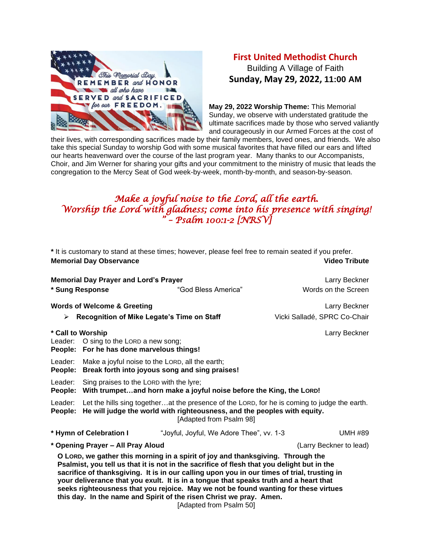

## **First United Methodist Church** Building A Village of Faith **Sunday, May 29, 2022, 11:00 AM**

**May 29, 2022 Worship Theme:** This Memorial Sunday, we observe with understated gratitude the ultimate sacrifices made by those who served valiantly and courageously in our Armed Forces at the cost of

their lives, with corresponding sacrifices made by their family members, loved ones, and friends. We also take this special Sunday to worship God with some musical favorites that have filled our ears and lifted our hearts heavenward over the course of the last program year. Many thanks to our Accompanists, Choir, and Jim Werner for sharing your gifts and your commitment to the ministry of music that leads the congregation to the Mercy Seat of God week-by-week, month-by-month, and season-by-season.

## *Make a joyful noise to the Lord, all the earth. Worship the Lord with gladness; come into his presence with singing! " – Psalm 100:1-2 [NRSV]*

| * It is customary to stand at these times; however, please feel free to remain seated if you prefer.                                                                                                                                                                                                                                                                                                                                                                                                                                |                                                                                                                                                                                                     |                                            |                                      |  |  |
|-------------------------------------------------------------------------------------------------------------------------------------------------------------------------------------------------------------------------------------------------------------------------------------------------------------------------------------------------------------------------------------------------------------------------------------------------------------------------------------------------------------------------------------|-----------------------------------------------------------------------------------------------------------------------------------------------------------------------------------------------------|--------------------------------------------|--------------------------------------|--|--|
| <b>Memorial Day Observance</b>                                                                                                                                                                                                                                                                                                                                                                                                                                                                                                      | <b>Video Tribute</b>                                                                                                                                                                                |                                            |                                      |  |  |
| * Sung Response                                                                                                                                                                                                                                                                                                                                                                                                                                                                                                                     | <b>Memorial Day Prayer and Lord's Prayer</b>                                                                                                                                                        | "God Bless America"                        | Larry Beckner<br>Words on the Screen |  |  |
|                                                                                                                                                                                                                                                                                                                                                                                                                                                                                                                                     |                                                                                                                                                                                                     |                                            |                                      |  |  |
| <b>Words of Welcome &amp; Greeting</b>                                                                                                                                                                                                                                                                                                                                                                                                                                                                                              |                                                                                                                                                                                                     |                                            | Larry Beckner                        |  |  |
| ➤                                                                                                                                                                                                                                                                                                                                                                                                                                                                                                                                   |                                                                                                                                                                                                     | Recognition of Mike Legate's Time on Staff | Vicki Salladé, SPRC Co-Chair         |  |  |
| * Call to Worship<br>Larry Beckner<br>Leader: O sing to the LORD a new song;<br>People: For he has done marvelous things!                                                                                                                                                                                                                                                                                                                                                                                                           |                                                                                                                                                                                                     |                                            |                                      |  |  |
| Leader:<br>People:                                                                                                                                                                                                                                                                                                                                                                                                                                                                                                                  | Make a joyful noise to the LORD, all the earth;<br>Break forth into joyous song and sing praises!                                                                                                   |                                            |                                      |  |  |
| Leader:                                                                                                                                                                                                                                                                                                                                                                                                                                                                                                                             | Sing praises to the LORD with the lyre;<br>People: With trumpetand horn make a joyful noise before the King, the LORD!                                                                              |                                            |                                      |  |  |
| Leader:<br>People:                                                                                                                                                                                                                                                                                                                                                                                                                                                                                                                  | Let the hills sing togetherat the presence of the LORD, for he is coming to judge the earth.<br>He will judge the world with righteousness, and the peoples with equity.<br>[Adapted from Psalm 98] |                                            |                                      |  |  |
|                                                                                                                                                                                                                                                                                                                                                                                                                                                                                                                                     | * Hymn of Celebration I                                                                                                                                                                             | "Joyful, Joyful, We Adore Thee", vv. 1-3   | <b>UMH #89</b>                       |  |  |
| * Opening Prayer - All Pray Aloud<br>(Larry Beckner to lead)                                                                                                                                                                                                                                                                                                                                                                                                                                                                        |                                                                                                                                                                                                     |                                            |                                      |  |  |
| O LORD, we gather this morning in a spirit of joy and thanksgiving. Through the<br>Psalmist, you tell us that it is not in the sacrifice of flesh that you delight but in the<br>sacrifice of thanksgiving. It is in our calling upon you in our times of trial, trusting in<br>your deliverance that you exult. It is in a tongue that speaks truth and a heart that<br>seeks righteousness that you rejoice. May we not be found wanting for these virtues<br>this day. In the name and Spirit of the risen Christ we pray. Amen. |                                                                                                                                                                                                     |                                            |                                      |  |  |

[Adapted from Psalm 50]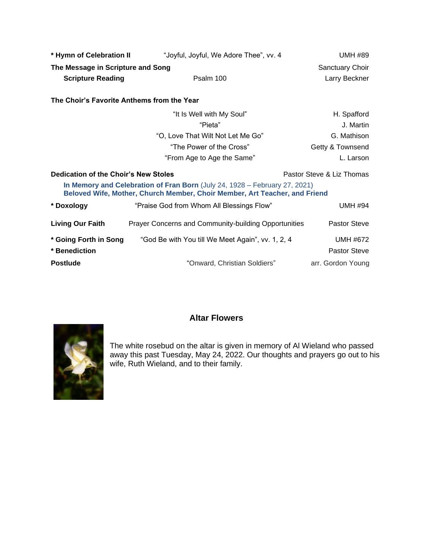| * Hymn of Celebration II                                                                                                                                 | "Joyful, Joyful, We Adore Thee", vv. 4               | <b>UMH #89</b>      |  |  |
|----------------------------------------------------------------------------------------------------------------------------------------------------------|------------------------------------------------------|---------------------|--|--|
| The Message in Scripture and Song                                                                                                                        | Sanctuary Choir                                      |                     |  |  |
| <b>Scripture Reading</b>                                                                                                                                 | Psalm 100                                            | Larry Beckner       |  |  |
| The Choir's Favorite Anthems from the Year                                                                                                               |                                                      |                     |  |  |
|                                                                                                                                                          | "It Is Well with My Soul"                            | H. Spafford         |  |  |
|                                                                                                                                                          | "Pieta"                                              | J. Martin           |  |  |
|                                                                                                                                                          | "O, Love That Wilt Not Let Me Go"                    | G. Mathison         |  |  |
|                                                                                                                                                          | "The Power of the Cross"                             | Getty & Townsend    |  |  |
|                                                                                                                                                          | "From Age to Age the Same"                           | L. Larson           |  |  |
| Dedication of the Choir's New Stoles<br>Pastor Steve & Liz Thomas                                                                                        |                                                      |                     |  |  |
| In Memory and Celebration of Fran Born (July 24, 1928 - February 27, 2021)<br>Beloved Wife, Mother, Church Member, Choir Member, Art Teacher, and Friend |                                                      |                     |  |  |
| * Doxology                                                                                                                                               | "Praise God from Whom All Blessings Flow"            | <b>UMH #94</b>      |  |  |
| <b>Living Our Faith</b>                                                                                                                                  | Prayer Concerns and Community-building Opportunities | <b>Pastor Steve</b> |  |  |
| * Going Forth in Song                                                                                                                                    | "God Be with You till We Meet Again", vv. 1, 2, 4    | UMH #672            |  |  |
| * Benediction                                                                                                                                            |                                                      | <b>Pastor Steve</b> |  |  |
| <b>Postlude</b>                                                                                                                                          | "Onward, Christian Soldiers"                         | arr. Gordon Young   |  |  |



## **Altar Flowers**

The white rosebud on the altar is given in memory of Al Wieland who passed away this past Tuesday, May 24, 2022. Our thoughts and prayers go out to his wife, Ruth Wieland, and to their family.